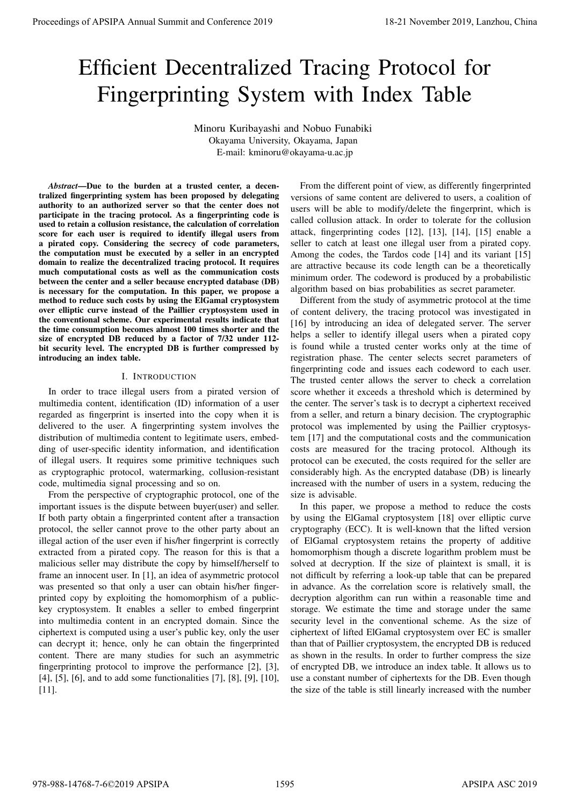# Efficient Decentralized Tracing Protocol for Fingerprinting System with Index Table

Minoru Kuribayashi and Nobuo Funabiki Okayama University, Okayama, Japan E-mail: kminoru@okayama-u.ac.jp

*Abstract*—Due to the burden at a trusted center, a decentralized fingerprinting system has been proposed by delegating authority to an authorized server so that the center does not participate in the tracing protocol. As a fingerprinting code is used to retain a collusion resistance, the calculation of correlation score for each user is required to identify illegal users from a pirated copy. Considering the secrecy of code parameters, the computation must be executed by a seller in an encrypted domain to realize the decentralized tracing protocol. It requires much computational costs as well as the communication costs between the center and a seller because encrypted database (DB) is necessary for the computation. In this paper, we propose a method to reduce such costs by using the ElGamal cryptosystem over elliptic curve instead of the Paillier cryptosystem used in the conventional scheme. Our experimental results indicate that the time consumption becomes almost 100 times shorter and the size of encrypted DB reduced by a factor of 7/32 under 112 bit security level. The encrypted DB is further compressed by introducing an index table.

## I. INTRODUCTION

In order to trace illegal users from a pirated version of multimedia content, identification (ID) information of a user regarded as fingerprint is inserted into the copy when it is delivered to the user. A fingerprinting system involves the distribution of multimedia content to legitimate users, embedding of user-specific identity information, and identification of illegal users. It requires some primitive techniques such as cryptographic protocol, watermarking, collusion-resistant code, multimedia signal processing and so on.

From the perspective of cryptographic protocol, one of the important issues is the dispute between buyer(user) and seller. If both party obtain a fingerprinted content after a transaction protocol, the seller cannot prove to the other party about an illegal action of the user even if his/her fingerprint is correctly extracted from a pirated copy. The reason for this is that a malicious seller may distribute the copy by himself/herself to frame an innocent user. In [1], an idea of asymmetric protocol was presented so that only a user can obtain his/her fingerprinted copy by exploiting the homomorphism of a publickey cryptosystem. It enables a seller to embed fingerprint into multimedia content in an encrypted domain. Since the ciphertext is computed using a user's public key, only the user can decrypt it; hence, only he can obtain the fingerprinted content. There are many studies for such an asymmetric fingerprinting protocol to improve the performance [2], [3], [4], [5], [6], and to add some functionalities [7], [8], [9], [10], [11].

From the different point of view, as differently fingerprinted versions of same content are delivered to users, a coalition of users will be able to modify/delete the fingerprint, which is called collusion attack. In order to tolerate for the collusion attack, fingerprinting codes [12], [13], [14], [15] enable a seller to catch at least one illegal user from a pirated copy. Among the codes, the Tardos code [14] and its variant [15] are attractive because its code length can be a theoretically minimum order. The codeword is produced by a probabilistic algorithm based on bias probabilities as secret parameter.

Different from the study of asymmetric protocol at the time of content delivery, the tracing protocol was investigated in [16] by introducing an idea of delegated server. The server helps a seller to identify illegal users when a pirated copy is found while a trusted center works only at the time of registration phase. The center selects secret parameters of fingerprinting code and issues each codeword to each user. The trusted center allows the server to check a correlation score whether it exceeds a threshold which is determined by the center. The server's task is to decrypt a ciphertext received from a seller, and return a binary decision. The cryptographic protocol was implemented by using the Paillier cryptosystem [17] and the computational costs and the communication costs are measured for the tracing protocol. Although its protocol can be executed, the costs required for the seller are considerably high. As the encrypted database (DB) is linearly increased with the number of users in a system, reducing the size is advisable. **Proceedings of APSIPA Annual Summit and Conference 2019**<br> **Efficient Decentralized Tracing Protocol for Summit and Summit and Summit and Conference 2019, Lanzhou, China 978-988-14768-7-60. The conference 2019, Lanzhou an** 

In this paper, we propose a method to reduce the costs by using the ElGamal cryptosystem [18] over elliptic curve cryptography (ECC). It is well-known that the lifted version of ElGamal cryptosystem retains the property of additive homomorphism though a discrete logarithm problem must be solved at decryption. If the size of plaintext is small, it is not difficult by referring a look-up table that can be prepared in advance. As the correlation score is relatively small, the decryption algorithm can run within a reasonable time and storage. We estimate the time and storage under the same security level in the conventional scheme. As the size of ciphertext of lifted ElGamal cryptosystem over EC is smaller than that of Paillier cryptosystem, the encrypted DB is reduced as shown in the results. In order to further compress the size of encrypted DB, we introduce an index table. It allows us to use a constant number of ciphertexts for the DB. Even though the size of the table is still linearly increased with the number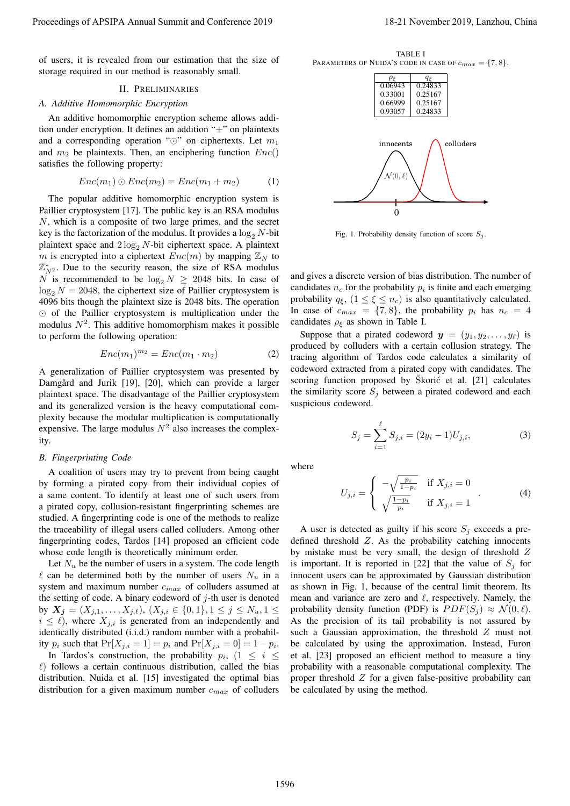of users, it is revealed from our estimation that the size of storage required in our method is reasonably small.

#### II. PRELIMINARIES

### *A. Additive Homomorphic Encryption*

An additive homomorphic encryption scheme allows addition under encryption. It defines an addition "+" on plaintexts and a corresponding operation "*⊙*" on ciphertexts. Let *m*<sup>1</sup> and *m*<sup>2</sup> be plaintexts. Then, an enciphering function *Enc*() satisfies the following property:

$$
Enc(m_1) \odot Enc(m_2) = Enc(m_1 + m_2) \tag{1}
$$

The popular additive homomorphic encryption system is Paillier cryptosystem [17]. The public key is an RSA modulus *N*, which is a composite of two large primes, and the secret key is the factorization of the modulus. It provides a  $\log_2 N$ -bit plaintext space and  $2 \log_2 N$ -bit ciphertext space. A plaintext *m* is encrypted into a ciphertext  $Enc(m)$  by mapping  $\mathbb{Z}_N$  to  $\mathbb{Z}_{N^2}^*$ . Due to the security reason, the size of RSA modulus *N* is recommended to be  $\log_2 N \geq 2048$  bits. In case of  $\log_2 N = 2048$ , the ciphertext size of Paillier cryptosystem is 4096 bits though the plaintext size is 2048 bits. The operation *⊙* of the Paillier cryptosystem is multiplication under the modulus  $N^2$ . This additive homomorphism makes it possible to perform the following operation:

$$
Enc(m_1)^{m_2} = Enc(m_1 \cdot m_2) \tag{2}
$$

A generalization of Paillier cryptosystem was presented by Damgård and Jurik [19], [20], which can provide a larger plaintext space. The disadvantage of the Paillier cryptosystem and its generalized version is the heavy computational complexity because the modular multiplication is computationally expensive. The large modulus  $N^2$  also increases the complexity.

### *B. Fingerprinting Code*

A coalition of users may try to prevent from being caught by forming a pirated copy from their individual copies of a same content. To identify at least one of such users from a pirated copy, collusion-resistant fingerprinting schemes are studied. A fingerprinting code is one of the methods to realize the traceability of illegal users called colluders. Among other fingerprinting codes, Tardos [14] proposed an efficient code whose code length is theoretically minimum order.

Let  $N_u$  be the number of users in a system. The code length  $\ell$  can be determined both by the number of users  $N_u$  in a system and maximum number *cmax* of colluders assumed at the setting of code. A binary codeword of *j*-th user is denoted by  $X_j = (X_{j,1}, \ldots, X_{j,\ell}), (X_{j,i} \in \{0,1\}, 1 \le j \le N_u, 1 \le j$  $i \leq \ell$ , where  $X_{j,i}$  is generated from an independently and identically distributed (i.i.d.) random number with a probability  $p_i$  such that  $Pr[X_{j,i} = 1] = p_i$  and  $Pr[X_{j,i} = 0] = 1 - p_i$ .

In Tardos's construction, the probability  $p_i$ ,  $(1 \leq i \leq j)$ *ℓ*) follows a certain continuous distribution, called the bias distribution. Nuida et al. [15] investigated the optimal bias distribution for a given maximum number *cmax* of colluders

TABLE I PARAMETERS OF NUIDA'S CODE IN CASE OF  $c_{max} = \{7, 8\}.$ 



Fig. 1. Probability density function of score  $S_j$ .

and gives a discrete version of bias distribution. The number of candidates  $n_c$  for the probability  $p_i$  is finite and each emerging probability  $q_{\xi}$ ,  $(1 \leq \xi \leq n_c)$  is also quantitatively calculated. In case of  $c_{max} = \{7, 8\}$ , the probability  $p_i$  has  $n_c = 4$ candidates  $\rho_{\xi}$  as shown in Table I.

Suppose that a pirated codeword  $y = (y_1, y_2, \dots, y_\ell)$  is produced by colluders with a certain collusion strategy. The tracing algorithm of Tardos code calculates a similarity of codeword extracted from a pirated copy with candidates. The scoring function proposed by Škorić et al. [21] calculates the similarity score  $S_j$  between a pirated codeword and each suspicious codeword.

$$
S_j = \sum_{i=1}^{\ell} S_{j,i} = (2y_i - 1)U_{j,i},
$$
\n(3)

where

$$
U_{j,i} = \begin{cases} -\sqrt{\frac{p_i}{1-p_i}} & \text{if } X_{j,i} = 0 \\ \sqrt{\frac{1-p_i}{p_i}} & \text{if } X_{j,i} = 1 \end{cases}
$$
 (4)

A user is detected as guilty if his score  $S_i$  exceeds a predefined threshold *Z*. As the probability catching innocents by mistake must be very small, the design of threshold *Z* is important. It is reported in [22] that the value of  $S_i$  for innocent users can be approximated by Gaussian distribution as shown in Fig. 1, because of the central limit theorem. Its mean and variance are zero and *ℓ*, respectively. Namely, the probability density function (PDF) is  $PDF(S_i) \approx \mathcal{N}(0, \ell)$ . As the precision of its tail probability is not assured by such a Gaussian approximation, the threshold *Z* must not be calculated by using the approximation. Instead, Furon et al. [23] proposed an efficient method to measure a tiny probability with a reasonable computational complexity. The proper threshold *Z* for a given false-positive probability can be calculated by using the method. Proceedings of APSIPA Annual Summit and Conference 2019<br>
of excellings of Real Annual Summit and Eq. of excelling the spin of excelling the spin of the spin of the spin of the spin of the spin of the spin of the spin of t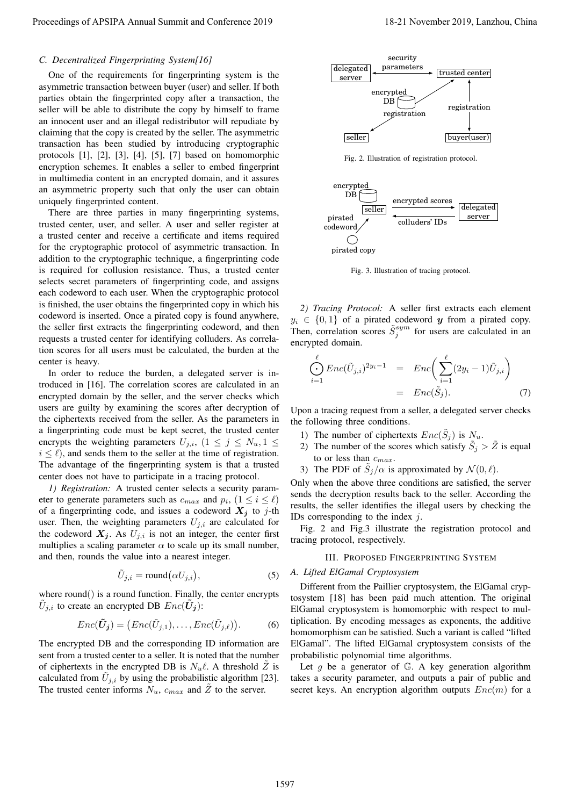## *C. Decentralized Fingerprinting System[16]*

One of the requirements for fingerprinting system is the asymmetric transaction between buyer (user) and seller. If both parties obtain the fingerprinted copy after a transaction, the seller will be able to distribute the copy by himself to frame an innocent user and an illegal redistributor will repudiate by claiming that the copy is created by the seller. The asymmetric transaction has been studied by introducing cryptographic protocols [1], [2], [3], [4], [5], [7] based on homomorphic encryption schemes. It enables a seller to embed fingerprint in multimedia content in an encrypted domain, and it assures an asymmetric property such that only the user can obtain uniquely fingerprinted content.

There are three parties in many fingerprinting systems, trusted center, user, and seller. A user and seller register at a trusted center and receive a certificate and items required for the cryptographic protocol of asymmetric transaction. In addition to the cryptographic technique, a fingerprinting code is required for collusion resistance. Thus, a trusted center selects secret parameters of fingerprinting code, and assigns each codeword to each user. When the cryptographic protocol is finished, the user obtains the fingerprinted copy in which his codeword is inserted. Once a pirated copy is found anywhere, the seller first extracts the fingerprinting codeword, and then requests a trusted center for identifying colluders. As correlation scores for all users must be calculated, the burden at the center is heavy. Proceedings of APSIPA Annual Summit at Conference 2019<br>
C.  $G$  are not the transformation of the summit and conference 2019 18-21 normal methods of the summit and conference 2019 18-21 normal methods of the summit and con

In order to reduce the burden, a delegated server is introduced in [16]. The correlation scores are calculated in an encrypted domain by the seller, and the server checks which users are guilty by examining the scores after decryption of the ciphertexts received from the seller. As the parameters in a fingerprinting code must be kept secret, the trusted center encrypts the weighting parameters  $U_{j,i}$ ,  $(1 \leq j \leq N_u, 1 \leq j \leq n)$  $i \leq \ell$ , and sends them to the seller at the time of registration. The advantage of the fingerprinting system is that a trusted center does not have to participate in a tracing protocol.

*1) Registration:* A trusted center selects a security parameter to generate parameters such as  $c_{max}$  and  $p_i$ ,  $(1 \le i \le \ell)$ of a fingerprinting code, and issues a codeword  $X_j$  to *j*-th user. Then, the weighting parameters  $U_{j,i}$  are calculated for the codeword  $X_j$ . As  $U_{j,i}$  is not an integer, the center first multiplies a scaling parameter  $\alpha$  to scale up its small number, and then, rounds the value into a nearest integer.

$$
\tilde{U}_{j,i} = \text{round}(\alpha U_{j,i}),\tag{5}
$$

where round() is a round function. Finally, the center encrypts  $\tilde{U}_{j,i}$  to create an encrypted DB  $Enc(\tilde{U}_j)$ :

$$
Enc(\tilde{\mathbf{U}}_{\mathbf{j}}) = (Enc(\tilde{U}_{j,1}), \dots, Enc(\tilde{U}_{j,\ell})).
$$
 (6)

The encrypted DB and the corresponding ID information are sent from a trusted center to a seller. It is noted that the number of ciphertexts in the encrypted DB is  $N_u\ell$ . A threshold *Z* is calculated from  $U_{j,i}$  by using the probabilistic algorithm [23]. The trusted center informs  $N_u$ ,  $c_{max}$  and  $\tilde{Z}$  to the server.



Fig. 2. Illustration of registration protocol.



Fig. 3. Illustration of tracing protocol.

*2) Tracing Protocol:* A seller first extracts each element  $y_i \in \{0, 1\}$  of a pirated codeword *y* from a pirated copy. Then, correlation scores  $\tilde{S}^{sym}_j$  for users are calculated in an encrypted domain.

$$
\sum_{i=1}^{\ell} Enc(\tilde{U}_{j,i})^{2y_i - 1} = Enc\left(\sum_{i=1}^{\ell} (2y_i - 1)\tilde{U}_{j,i}\right)
$$

$$
= Enc(\tilde{S}_j).
$$
(7)

Upon a tracing request from a seller, a delegated server checks the following three conditions.

- 1) The number of ciphertexts  $Enc(\tilde{S}_j)$  is  $N_u$ .
- 2) The number of the scores which satisfy  $\tilde{S}_j > \tilde{Z}$  is equal to or less than *cmax*.
- 3) The PDF of  $\tilde{S}_j/\alpha$  is approximated by  $\mathcal{N}(0,\ell)$ .

Only when the above three conditions are satisfied, the server sends the decryption results back to the seller. According the results, the seller identifies the illegal users by checking the IDs corresponding to the index *j*.

Fig. 2 and Fig.3 illustrate the registration protocol and tracing protocol, respectively.

#### III. PROPOSED FINGERPRINTING SYSTEM

### *A. Lifted ElGamal Cryptosystem*

Different from the Paillier cryptosystem, the ElGamal cryptosystem [18] has been paid much attention. The original ElGamal cryptosystem is homomorphic with respect to multiplication. By encoding messages as exponents, the additive homomorphism can be satisfied. Such a variant is called "lifted ElGamal". The lifted ElGamal cryptosystem consists of the probabilistic polynomial time algorithms.

Let  $q$  be a generator of  $\mathbb{G}$ . A key generation algorithm takes a security parameter, and outputs a pair of public and secret keys. An encryption algorithm outputs *Enc*(*m*) for a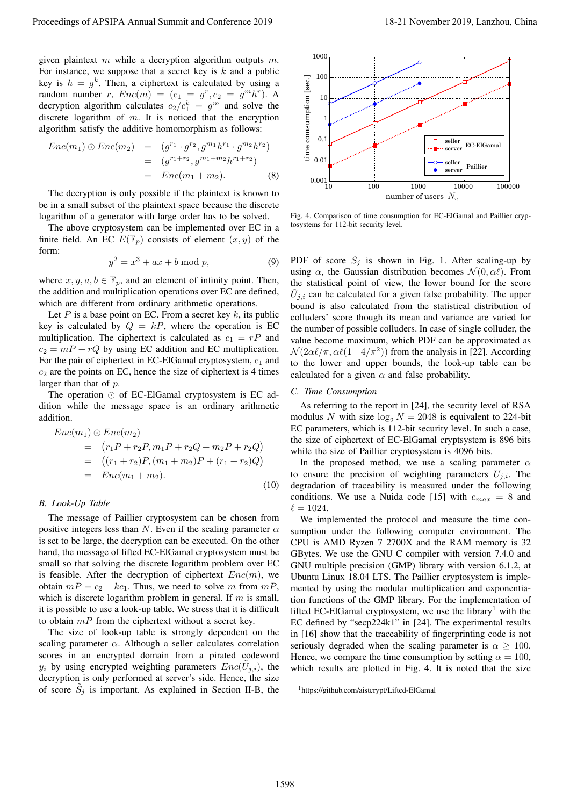given plaintext *m* while a decryption algorithm outputs *m*. For instance, we suppose that a secret key is *k* and a public key is  $h = g^k$ . Then, a ciphertext is calculated by using a random number *r*,  $Enc(m) = (c_1 = g^r, c_2 = g^m h^r)$ . A decryption algorithm calculates  $c_2/c_1^k = g^m$  and solve the discrete logarithm of *m*. It is noticed that the encryption algorithm satisfy the additive homomorphism as follows:

$$
Enc(m_1) \odot Enc(m_2) = (g^{r_1} \cdot g^{r_2}, g^{m_1}h^{r_1} \cdot g^{m_2}h^{r_2})
$$
  
=  $(g^{r_1+r_2}, g^{m_1+m_2}h^{r_1+r_2})$   
=  $Enc(m_1 + m_2).$  (8)

The decryption is only possible if the plaintext is known to be in a small subset of the plaintext space because the discrete logarithm of a generator with large order has to be solved.

The above cryptosystem can be implemented over EC in a finite field. An EC  $E(\mathbb{F}_p)$  consists of element  $(x, y)$  of the form:

$$
y^2 = x^3 + ax + b \bmod p,\tag{9}
$$

where  $x, y, a, b \in \mathbb{F}_p$ , and an element of infinity point. Then, the addition and multiplication operations over EC are defined, which are different from ordinary arithmetic operations.

Let *P* is a base point on EC. From a secret key *k*, its public key is calculated by  $Q = kP$ , where the operation is EC multiplication. The ciphertext is calculated as  $c_1 = rP$  and  $c_2 = mP + rQ$  by using EC addition and EC multiplication. For the pair of ciphertext in EC-ElGamal cryptosystem,  $c_1$  and  $c<sub>2</sub>$  are the points on EC, hence the size of ciphertext is 4 times larger than that of *p*.

The operation *⊙* of EC-ElGamal cryptosystem is EC addition while the message space is an ordinary arithmetic addition.

$$
Enc(m_1) \odot Enc(m_2)
$$
  
=  $(r_1P + r_2P, m_1P + r_2Q + m_2P + r_2Q)$   
=  $((r_1 + r_2)P, (m_1 + m_2)P + (r_1 + r_2)Q)$   
=  $Enc(m_1 + m_2).$  (10)

## *B. Look-Up Table*

The message of Paillier cryptosystem can be chosen from positive integers less than *N*. Even if the scaling parameter  $\alpha$ is set to be large, the decryption can be executed. On the other hand, the message of lifted EC-ElGamal cryptosystem must be small so that solving the discrete logarithm problem over EC is feasible. After the decryption of ciphertext *Enc*(*m*), we obtain  $mP = c_2 - kc_1$ . Thus, we need to solve *m* from  $mP$ , which is discrete logarithm problem in general. If *m* is small, it is possible to use a look-up table. We stress that it is difficult to obtain *mP* from the ciphertext without a secret key.

The size of look-up table is strongly dependent on the scaling parameter  $\alpha$ . Although a seller calculates correlation scores in an encrypted domain from a pirated codeword  $y_i$  by using encrypted weighting parameters  $Enc(\tilde{U}_{j,i})$ , the decryption is only performed at server's side. Hence, the size of score  $S_j$  is important. As explained in Section II-B, the



Fig. 4. Comparison of time consumption for EC-ElGamal and Paillier cryptosystems for 112-bit security level.

PDF of score  $S_j$  is shown in Fig. 1. After scaling-up by using  $\alpha$ , the Gaussian distribution becomes  $\mathcal{N}(0, \alpha \ell)$ . From the statistical point of view, the lower bound for the score  $\tilde{U}_{j,i}$  can be calculated for a given false probability. The upper bound is also calculated from the statistical distribution of colluders' score though its mean and variance are varied for the number of possible colluders. In case of single colluder, the value become maximum, which PDF can be approximated as  $\mathcal{N}(2\alpha\ell/\pi, \alpha\ell(1-4/\pi^2))$  from the analysis in [22]. According to the lower and upper bounds, the look-up table can be calculated for a given  $\alpha$  and false probability.

## *C. Time Consumption*

As referring to the report in [24], the security level of RSA modulus *N* with size  $\log_2 N = 2048$  is equivalent to 224-bit EC parameters, which is 112-bit security level. In such a case, the size of ciphertext of EC-ElGamal cryptsystem is 896 bits while the size of Paillier cryptosystem is 4096 bits.

In the proposed method, we use a scaling parameter *α* to ensure the precision of weighting parameters  $U_{j,i}$ . The degradation of traceability is measured under the following conditions. We use a Nuida code [15] with  $c_{max} = 8$  and  $\ell = 1024.$ 

We implemented the protocol and measure the time consumption under the following computer environment. The CPU is AMD Ryzen 7 2700X and the RAM memory is 32 GBytes. We use the GNU C compiler with version 7.4.0 and GNU multiple precision (GMP) library with version 6.1.2, at Ubuntu Linux 18.04 LTS. The Paillier cryptosystem is implemented by using the modular multiplication and exponentiation functions of the GMP library. For the implementation of lifted EC-ElGamal cryptosystem, we use the library<sup>1</sup> with the EC defined by "secp224k1" in [24]. The experimental results in [16] show that the traceability of fingerprinting code is not seriously degraded when the scaling parameter is  $\alpha \geq 100$ . Hence, we compare the time consumption by setting  $\alpha = 100$ , which results are plotted in Fig. 4. It is noted that the size

<sup>1</sup>https://github.com/aistcrypt/Lifted-ElGamal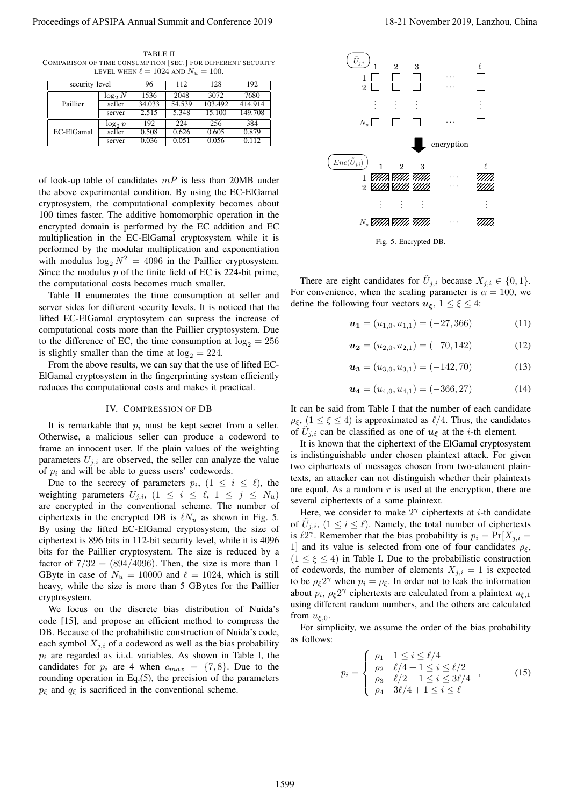TABLE II COMPARISON OF TIME CONSUMPTION [SEC.] FOR DIFFERENT SECURITY LEVEL WHEN  $\ell = 1024$  AND  $N_u = 100$ .

| security level |            | 96     | 112    | 128     | 192     |
|----------------|------------|--------|--------|---------|---------|
| Paillier       | $\log_2 N$ | 1536   | 2048   | 3072    | 7680    |
|                | seller     | 34.033 | 54.539 | 103.492 | 414.914 |
|                | server     | 2.515  | 5.348  | 15.100  | 149.708 |
| EC-ElGamal     | $\log_2 p$ | 192    | 224    | 256     | 384     |
|                | seller     | 0.508  | 0.626  | 0.605   | 0.879   |
|                | server     | 0.036  | 0.051  | 0.056   | 0.112   |

of look-up table of candidates *mP* is less than 20MB under the above experimental condition. By using the EC-ElGamal cryptosystem, the computational complexity becomes about 100 times faster. The additive homomorphic operation in the encrypted domain is performed by the EC addition and EC multiplication in the EC-ElGamal cryptosystem while it is performed by the modular multiplication and exponentiation with modulus  $\log_2 N^2 = 4096$  in the Paillier cryptosystem. Since the modulus *p* of the finite field of EC is 224-bit prime, the computational costs becomes much smaller.

Table II enumerates the time consumption at seller and server sides for different security levels. It is noticed that the lifted EC-ElGamal cryptosytem can supress the increase of computational costs more than the Paillier cryptosystem. Due to the difference of EC, the time consumption at  $log_2 = 256$ is slightly smaller than the time at  $log_2 = 224$ .

From the above results, we can say that the use of lifted EC-ElGamal cryptosystem in the fingerprinting system efficiently reduces the computational costs and makes it practical.

### IV. COMPRESSION OF DB

It is remarkable that  $p_i$  must be kept secret from a seller. Otherwise, a malicious seller can produce a codeword to frame an innocent user. If the plain values of the weighting parameters  $U_{j,i}$  are observed, the seller can analyze the value of  $p_i$  and will be able to guess users' codewords.

Due to the secrecy of parameters  $p_i$ ,  $(1 \le i \le \ell)$ , the weighting parameters  $U_{j,i}$ ,  $(1 \le i \le \ell, 1 \le j \le N_u)$ are encrypted in the conventional scheme. The number of ciphertexts in the encrypted DB is  $\ell N_u$  as shown in Fig. 5. By using the lifted EC-ElGamal cryptosystem, the size of ciphertext is 896 bits in 112-bit security level, while it is 4096 bits for the Paillier cryptosystem. The size is reduced by a factor of  $7/32 = (894/4096)$ . Then, the size is more than 1 GByte in case of  $N_u = 10000$  and  $\ell = 1024$ , which is still heavy, while the size is more than 5 GBytes for the Paillier cryptosystem.

We focus on the discrete bias distribution of Nuida's code [15], and propose an efficient method to compress the DB. Because of the probabilistic construction of Nuida's code, each symbol  $X_{i,i}$  of a codeword as well as the bias probability  $p_i$  are regarded as i.i.d. variables. As shown in Table I, the candidates for  $p_i$  are 4 when  $c_{max} = \{7, 8\}$ . Due to the rounding operation in Eq.(5), the precision of the parameters  $p_{\xi}$  and  $q_{\xi}$  is sacrificed in the conventional scheme.



Fig. 5. Encrypted DB.

There are eight candidates for  $\tilde{U}_{j,i}$  because  $X_{j,i} \in \{0,1\}$ . For convenience, when the scaling parameter is  $\alpha = 100$ , we define the following four vectors  $u_{\xi}$ ,  $1 \leq \xi \leq 4$ :

$$
\mathbf{u_1} = (u_{1,0}, u_{1,1}) = (-27, 366) \tag{11}
$$

$$
u_2 = (u_{2,0}, u_{2,1}) = (-70, 142) \tag{12}
$$

$$
\mathbf{u_3} = (u_{3,0}, u_{3,1}) = (-142, 70) \tag{13}
$$

$$
u_4 = (u_{4,0}, u_{4,1}) = (-366, 27) \tag{14}
$$

It can be said from Table I that the number of each candidate  $\rho_{\xi}$ , (1  $\leq \xi \leq 4$ ) is approximated as  $\ell/4$ . Thus, the candidates of  $\tilde{U}_{j,i}$  can be classified as one of  $u_{\xi}$  at the *i*-th element.

It is known that the ciphertext of the ElGamal cryptosystem is indistinguishable under chosen plaintext attack. For given two ciphertexts of messages chosen from two-element plaintexts, an attacker can not distinguish whether their plaintexts are equal. As a random  $r$  is used at the encryption, there are several ciphertexts of a same plaintext.

Here, we consider to make  $2^{\gamma}$  ciphertexts at *i*-th candidate of  $\tilde{U}_{j,i}$ ,  $(1 \leq i \leq \ell)$ . Namely, the total number of ciphertexts is  $\ell 2^{\gamma}$ . Remember that the bias probability is  $p_i = \Pr[X_{j,i}]$ 1] and its value is selected from one of four candidates  $\rho_{\xi}$ ,  $(1 \leq \xi \leq 4)$  in Table I. Due to the probabilistic construction of codewords, the number of elements  $X_{j,i} = 1$  is expected to be  $\rho_{\xi} 2^{\gamma}$  when  $p_i = \rho_{\xi}$ . In order not to leak the information about  $p_i$ ,  $\rho_{\xi}$ 2<sup> $\gamma$ </sup> ciphertexts are calculated from a plaintext  $u_{\xi,1}$ using different random numbers, and the others are calculated from  $u_{\xi,0}$ .

For simplicity, we assume the order of the bias probability as follows:

$$
p_i = \begin{cases} \n\rho_1 & 1 \leq i \leq \ell/4 \\ \n\rho_2 & \ell/4 + 1 \leq i \leq \ell/2 \\ \n\rho_3 & \ell/2 + 1 \leq i \leq 3\ell/4 \\ \n\rho_4 & 3\ell/4 + 1 \leq i \leq \ell \n\end{cases} \tag{15}
$$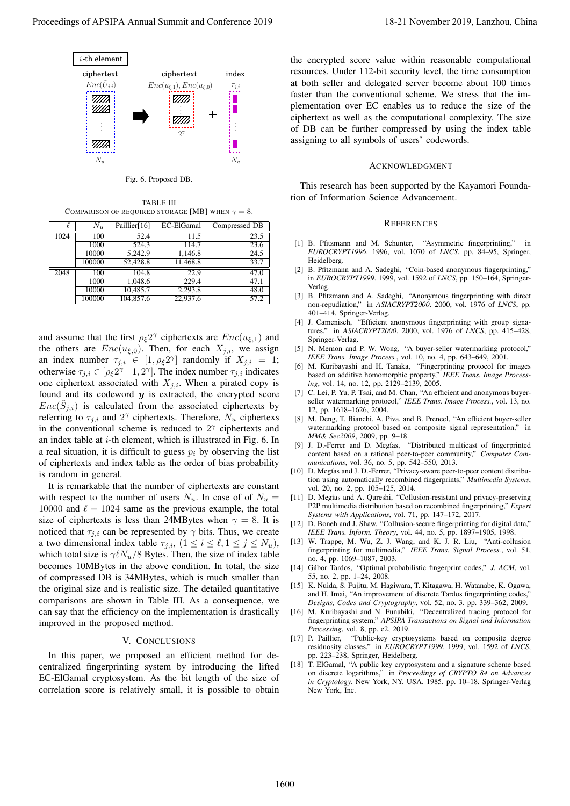

Fig. 6. Proposed DB.

TABLE III COMPARISON OF REQUIRED STORAGE [MB] WHEN  $\gamma = 8$ .

|      | $N_u$  | Paillier[16] | EC-ElGamal | Compressed DB     |
|------|--------|--------------|------------|-------------------|
| 1024 | 100    | 52.4         | 11.5       | 23.5              |
|      | 1000   | 524.3        | 114.7      | 23.6              |
|      | 10000  | 5,242.9      | 1.146.8    | 24.5              |
|      | 100000 | 52,428.8     | 11.468.8   | 33.7              |
| 2048 | 100    | 104.8        | 22.9       | 47.0              |
|      | 1000   | 1.048.6      | 229.4      | 47.1              |
|      | 10000  | 10,485.7     | 2,293.8    | 48.0              |
|      | 100000 | 104,857.6    | 22,937.6   | $\overline{57.2}$ |

and assume that the first  $\rho_{\xi}2^{\gamma}$  ciphertexts are  $Enc(u_{\xi,1})$  and the others are  $Enc(u_{\xi,0})$ . Then, for each  $X_{j,i}$ , we assign an index number  $\tau_{j,i} \in [1, \rho_{\xi}2^{\gamma}]$  randomly if  $X_{j,i} = 1$ ; otherwise  $\tau_{j,i} \in [\rho_{\xi}2^{\gamma}+1, 2^{\gamma}]$ . The index number  $\tau_{j,i}$  indicates one ciphertext associated with  $X_{i,i}$ . When a pirated copy is found and its codeword  $y$  is extracted, the encrypted score  $Enc(\tilde{S}_{j,i})$  is calculated from the associated ciphertexts by referring to  $\tau_{j,i}$  and  $2^{\gamma}$  ciphertexts. Therefore,  $N_u$  ciphertexs in the conventional scheme is reduced to  $2^{\gamma}$  ciphertexts and an index table at *i*-th element, which is illustrated in Fig. 6. In a real situation, it is difficult to guess  $p_i$  by observing the list of ciphertexts and index table as the order of bias probability is random in general.

It is remarkable that the number of ciphertexts are constant with respect to the number of users  $N_u$ . In case of of  $N_u$  = 10000 and  $\ell = 1024$  same as the previous example, the total size of ciphertexts is less than 24MBytes when  $\gamma = 8$ . It is noticed that  $\tau_{i,i}$  can be represented by  $\gamma$  bits. Thus, we create a two dimensional index table  $\tau_{j,i}$ ,  $(1 \leq i \leq \ell, 1 \leq j \leq N_u)$ , which total size is  $\gamma \ell N_u/8$  Bytes. Then, the size of index table becomes 10MBytes in the above condition. In total, the size of compressed DB is 34MBytes, which is much smaller than the original size and is realistic size. The detailed quantitative comparisons are shown in Table III. As a consequence, we can say that the efficiency on the implementation is drastically improved in the proposed method. Proceedings of APSIPA Annual Summit and Conference 2019 18-21 November 2019, Lanzhou, China 2019, Lanzhou, China 2019, Lanzhou, China 2019, Lanzhou, China 2019, Lanzhou, China 2019, Lanzhou, China 2019, Lanzhou, China 201

#### V. CONCLUSIONS

In this paper, we proposed an efficient method for decentralized fingerprinting system by introducing the lifted EC-ElGamal cryptosystem. As the bit length of the size of correlation score is relatively small, it is possible to obtain

the encrypted score value within reasonable computational resources. Under 112-bit security level, the time consumption at both seller and delegated server become about 100 times faster than the conventional scheme. We stress that the implementation over EC enables us to reduce the size of the ciphertext as well as the computational complexity. The size of DB can be further compressed by using the index table assigning to all symbols of users' codewords.

#### ACKNOWLEDGMENT

This research has been supported by the Kayamori Foundation of Information Science Advancement.

#### **REFERENCES**

- [1] B. Pfitzmann and M. Schunter, "Asymmetric fingerprinting," in *EUROCRYPT1996*. 1996, vol. 1070 of *LNCS*, pp. 84–95, Springer, Heidelberg.
- [2] B. Pfitzmann and A. Sadeghi, "Coin-based anonymous fingerprinting," in *EUROCRYPT1999*. 1999, vol. 1592 of *LNCS*, pp. 150–164, Springer-Verlag.
- [3] B. Pfitzmann and A. Sadeghi, "Anonymous fingerprinting with direct non-repudiation," in *ASIACRYPT2000*. 2000, vol. 1976 of *LNCS*, pp. 401–414, Springer-Verlag.
- [4] J. Camenisch, "Efficient anonymous fingerprinting with group signatures," in *ASIACRYPT2000*. 2000, vol. 1976 of *LNCS*, pp. 415–428, Springer-Verlag.
- [5] N. Memon and P. W. Wong, "A buyer-seller watermarking protocol," *IEEE Trans. Image Process.*, vol. 10, no. 4, pp. 643–649, 2001.
- [6] M. Kuribayashi and H. Tanaka, "Fingerprinting protocol for images based on additive homomorphic property," *IEEE Trans. Image Processing*, vol. 14, no. 12, pp. 2129–2139, 2005.
- [7] C. Lei, P. Yu, P. Tsai, and M. Chan, "An efficient and anonymous buyerseller watermarking protocol," IEEE Trans. Image Process., vol. 13, no. 12, pp. 1618–1626, 2004.
- [8] M. Deng, T. Bianchi, A. Piva, and B. Preneel, "An efficient buyer-seller watermarking protocol based on composite signal representation," in *MM& Sec2009*, 2009, pp. 9–18.
- [9] J. D.-Ferrer and D. Megías, "Distributed multicast of fingerprinted content based on a rational peer-to-peer community," *Computer Communications*, vol. 36, no. 5, pp. 542–550, 2013.
- [10] D. Megías and J. D.-Ferrer, "Privacy-aware peer-to-peer content distribution using automatically recombined fingerprints," *Multimedia Systems*, vol. 20, no. 2, pp. 105–125, 2014.
- [11] D. Megías and A. Qureshi, "Collusion-resistant and privacy-preserving P2P multimedia distribution based on recombined fingerprinting," *Expert Systems with Applications*, vol. 71, pp. 147–172, 2017.
- [12] D. Boneh and J. Shaw, "Collusion-secure fingerprinting for digital data," *IEEE Trans. Inform. Theory*, vol. 44, no. 5, pp. 1897–1905, 1998.
- [13] W. Trappe, M. Wu, Z. J. Wang, and K. J. R. Liu, "Anti-collusion fingerprinting for multimedia," *IEEE Trans. Signal Process.*, vol. 51, no. 4, pp. 1069–1087, 2003.
- [14] Gábor Tardos, "Optimal probabilistic fingerprint codes," J. ACM, vol. 55, no. 2, pp. 1–24, 2008.
- [15] K. Nuida, S. Fujitu, M. Hagiwara, T. Kitagawa, H. Watanabe, K. Ogawa, and H. Imai, "An improvement of discrete Tardos fingerprinting codes," *Designs, Codes and Cryptography*, vol. 52, no. 3, pp. 339–362, 2009.
- [16] M. Kuribayashi and N. Funabiki, "Decentralized tracing protocol for fingerprinting system," *APSIPA Transactions on Signal and Information Processing*, vol. 8, pp. e2, 2019.
- [17] P. Paillier, "Public-key cryptosystems based on composite degree residuosity classes," in *EUROCRYPT1999*. 1999, vol. 1592 of *LNCS*, pp. 223–238, Springer, Heidelberg.
- [18] T. ElGamal, "A public key cryptosystem and a signature scheme based on discrete logarithms," in *Proceedings of CRYPTO 84 on Advances in Cryptology*, New York, NY, USA, 1985, pp. 10–18, Springer-Verlag New York, Inc.